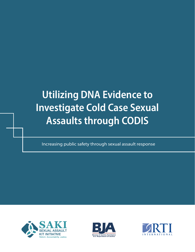# **Utilizing DNA Evidence to Investigate Cold Case Sexual Assaults through CODIS**

Increasing public safety through sexual assault response





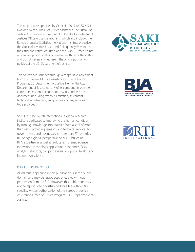This project was supported by Grant No. 2015-AK-BX-K021 awarded by the Bureau of Justice Assistance. The Bureau of Justice Assistance is a component of the U.S. Department of Justice's Office of Justice Programs, which also includes the Bureau of Justice Statistics, the National Institute of Justice, the Office of Juvenile Justice and Delinquency Prevention, the Office for Victims of Crime, and the SMART Office. Points of view or opinions in this document are those of the author and do not necessarily represent the official position or policies of the U.S. Department of Justice.

This conference is funded through a cooperative agreement from the Bureau of Justice Assistance, Office of Justice Programs, U.S. Department of Justice. Neither the U.S. Department of Justice nor any of its components operate, control, are responsible for, or necessarily endorse this document (including, without limitation, its content, technical infrastructure, and policies, and any services or tools provided).

SAKI TTA is led by RTI International, a global research institute dedicated to improving the human condition by turning knowledge into practice. With a staff of more than 4,000 providing research and technical services to governments and businesses in more than 75 countries, RTI brings a global perspective. SAKI TTA builds on RTI's expertise in sexual assault cases, forensic science, innovation, technology application, economics, DNA analytics, statistics, program evaluation, public health, and information science.

### PUBLIC DOMAIN NOTICE

All material appearing in this publication is in the public domain and may be reproduced or copied without permission from the BJA. However, this publication may not be reproduced or distributed for a fee without the specific, written authorization of the Bureau of Justice Assistance, Office of Justice Programs, U.S. Department of Justice.





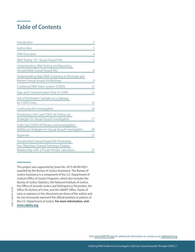## **Table of Contents**

| DNA Testing 101: Sexual Assault Kits 5                                                                                                       |
|----------------------------------------------------------------------------------------------------------------------------------------------|
| Understanding DNA Testing and Reporting:<br>Unsubmitted Sexual Assault Kits  6                                                               |
| Understanding Male DNA Screening to Eliminate and                                                                                            |
| Combined DNA Index System (CODIS)  12                                                                                                        |
| Data and Communication Flow in CODIS  13                                                                                                     |
| Use of Elimination Samples as a Gateway                                                                                                      |
|                                                                                                                                              |
| Prioritizing Cold Case CODIS Hit Follow-up:<br>Strategies for Sexual Assault Investigators 17                                                |
| Cold Case CODIS Hit Review and Investigation:<br>Additional Strategies for Sexual Assault Investigators  20                                  |
|                                                                                                                                              |
| Unsubmitted Sexual Assault Kit Processing:<br>Five Objectives Toward Forming a Positive<br>Relationship with a Private Vendor Laboratory  23 |

This project was supported by Grant No. 2015-AK-BX-K021 awarded by the Bureau of Justice Assistance. The Bureau of Justice Assistance is a component of the U.S. Department of Justice's Office of Justice Programs, which also includes the Bureau of Justice Statistics, the National Institute of Justice, the Office of Juvenile Justice and Delinquency Prevention, the Office for Victims of Crime, and the SMART Office. Points of view or opinions in this document are those of the author and do not necessarily represent the official position or policies of the U.S. Department of Justice. **For more information, visit [www.sakitta.org.](https://www.sakitta.org/)**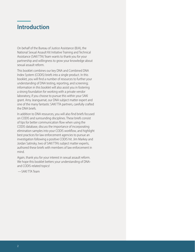## <span id="page-3-0"></span>**Introduction**

On behalf of the Bureau of Justice Assistance (BJA), the National Sexual Assault Kit Initiative Training and Technical Assistance (SAKI TTA) Team wants to thank you for your partnership and willingness to grow your knowledge about sexual assault reform.

This booklet combines our key DNA and Combined DNA Index System (CODIS) briefs into a single product. In this booklet, you will find a number of resources to further your understanding of DNA testing, reporting, and screening; information in this booklet will also assist you in fostering a strong foundation for working with a private vendor laboratory, if you choose to pursue this within your SAKI grant. Amy Jeanguenat, our DNA subject matter expert and one of the many fantastic SAKI TTA partners, carefully crafted the DNA briefs.

In addition to DNA resources, you will also find briefs focused on CODIS and surrounding disciplines. These briefs consist of tips for better communication flow when using the CODIS database, discuss the importance of incorporating elimination samples into your CODIS workflow, and highlight best practices for law enforcement agencies to pursue an investigation following a positive CODIS hit. Jim Markey and Jordan Satinsky, two of SAKI TTA's subject matter experts, authored these briefs with members of law enforcement in mind.

Again, thank you for your interest in sexual assault reform. We hope this booklet betters your understanding of DNAand CODIS-related topics!

—SAKI TTA Team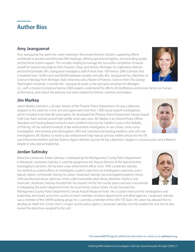## <span id="page-4-0"></span>**Author Bios**

### **Amy Jeanguenat**

Amy Jeanguenat has spent her career working in the private forensic industry supporting efforts worldwide to prevent and eliminate DNA backlogs, refining operational logistics, and providing quality and technical system support. This includes helping to manage the successful completion of sexual assault kit outsourcing projects from Houston, Texas, and Detroit, Michigan. As a laboratory director and technical leader, Mrs. Jeanguenat managed a staff of more than 100 forensic DNA scientists that completed over 14,000 cases and 80,000 database samples annually. Mrs. Jeanguenat has a Bachelor of Science in Biology from Michigan State University and a Master of Forensic Sciences from The George Washington University. Currently Mrs. Jeanguenat works as the principal consultant for Mindgen,

LLC, with a mission to improve forensic DNA analysis, understand the effects of mindfulness and human factors on human performance, and reduce the pressure and stress realized by forensic scientists and leaders.

### **Jim Markey**

James Markey (retired) is a 30-year veteran of the Phoenix Police Department. He was a detective sergeant to the adult sex crime unit and supervised more than 7,000 sexual assault investigations, which included more than 80 serial rapists. He developed the Phoenix Police Department Sexual Assault Cold Case Team and led several high-profile serial rape cases. Mr. Markey is an Arizona Peace Officer Standards and Training Board instructor and a certified instructor for Franklin-Covey in the Nobility of Policing. He has trained hundreds of law enforcement investigators on sex crimes, crime scene investigation, interviewing and interrogation, DNA and untested and backlog evidence, and cold case investigations. Mr. Markey co-wrote a law enforcement help manual and has written articles for the *FBI* 

*Law Enforcement Bulletin* and the *Violence Against Women Journal.* He has a Bachelor's degree in criminal justice and a Master's degree in educational leadership.

### **Jordan Satinsky**

Detective Lieutenant Jordan Satinsky is employed by the Montgomery County Police Department in Maryland. Lieutenant Satinsky is currently assigned as the Deputy Director of the Special Victims Investigations divisions. He has been a law enforcement officer since 1999. Lieutenant Satinsky has worked as a patrol officer, an investigator, a patrol supervisor, an investigative supervisor, and a deputy station commander. During his career, Lieutenant Satinsky has investigated property crimes, child sex/physical abuse, adult sex crimes, elder/vulnerable adult abuse, domestic violence, and homicide. Lieutenant Satinsky founded the Sex Assault Unit for the county police and was instrumental in integrating the police department into the local Family Justice Center. He also founded the

Montgomery County Police Department's Sexual Assault Response Team. He is a police instructor for investigations and leadership, and travels across the country to teach members of police departments and allied agencies. Lieutenant Satinsky was a member of the SAFER working group; he is currently a member of the SAKI TTA Team. His career has allowed him to develop an Adult Sex Crimes Unit in a major county police agency. Lieutenant Satinsky not only created the unit, but he also trained the detectives assigned to the unit.





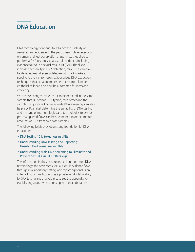## <span id="page-5-0"></span>**DNA Education**

DNA technology continues to advance the usability of sexual assault evidence. In the past, presumptive detection of semen or direct observation of sperm was required to perform a DNA test on sexual assault evidence, including evidence found in a sexual assault kit (SAK). Thanks to increased sensitivity in DNA detection, male DNA can now be detected—and even isolated—with DNA markers specific to the Y-chromosome. Specialized DNA extraction techniques that separate male sperm cells from female epithelial cells can also now be automated for increased efficiency.

With these changes, male DNA can be detected in the same sample that is used for DNA typing, thus preserving the sample. This process, known as male DNA screening, can also help a DNA analyst determine the suitability of DNA testing and the type of methodologies and technologies to use for processing. Workflows can be streamlined to detect minute amounts of DNA from cold case samples.

The following briefs provide a strong foundation for DNA education:

- **\* DNA Testing 101: Sexual Assault Kits**
- Understanding DNA Testing and Reporting: Unsubmitted Sexual Assault Kits
- Understanding Male DNA Screening to Eliminate and Prevent Sexual Assault Kit Backlogs

The information in these resources explains common DNA terminology, the basic steps sexual assault evidence flows through in a laboratory setting, and reporting/conclusion criteria. If your jurisdiction uses a private vendor laboratory for SAK testing and analysis, please see the appendix for establishing a positive relationship with that laboratory.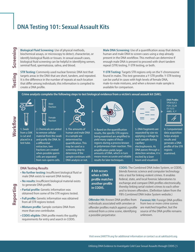## <span id="page-6-0"></span>**DNA Testing 101: Sexual Assault Kits**

**Biological Fluid Screening:** Use of physical methods, biochemical assays, or microscopy to detect, characterize, or identify biological fluids or tissues. In sexual assault cases, biological fluid screening can be helpful in identifying semen, seminal fluid, spermatozoa, saliva, and blood.

**STR Testing:** Commonly used nuclear forensic DNA test that targets areas in the DNA that are short, tandem, and repeated. It is the difference in the number of repeats at each location that differ among individuals; this information is compiled to create a DNA profile.

**Male DNA Screening:** Use of a quantification assay that detects human and male DNA to screen cases using a step already present in the DNA workflow. This method can determine if enough male DNA is present to proceed with short tandem repeat (STR) testing, Y-STR testing, or both.

**Y-STR Testing:** Targets STR regions only on the Y-chromosome found in males. This test generates a Y-STR profile. Y-STR testing can be useful in cases with high levels of female DNA, male-to-male mixtures, and when a known male sample is available for comparison.

**Crime analysts complete the following steps to test biological evidence from a victim's sexual assault kit (SAK).** 



**Screening** 

**Testing**

1. Swab from a SAK is cut and placed in a test tube.



2. Chemicals are added to remove cellular material from the swab and purify the DNA. In a differential extraction, two fractions are created when possible sperm cells are separated from non-sperm cells. **time**<br>
1. Swab and to remove cellular fiscation a SAK to remove cellular and material from the swab and purify the DNA. In a sample are and purify the DNA. In a sample and purify the DNA. In a differential extraction, two



3. The amounts of human and male DNA in a sample are determined by quantification. This may be used as a screening step to determine if the sample continues with DNA analysis or not.



4. Based on the quantification results, the specific STR regions being examined are amplified to yield many copies of those regions during a process known as polymerase chain reaction. This amplification yields larger amounts of DNA, which in turn means more accurate and reliable results for later techniques.

5. DNA fragments are separated by size via applying a voltage to each sample during capillary electrophoresis. As DNA passes through a detection window, it is excited by a laser beam and visualized.

**DNA Pro**fi**le:** TPOX 8,9.3 FGA: 23,28 D7: 9,13 AMEL: X, Y



6. Computerized data acquisition helps analyze results and generate a DNA profile of the STR regions examined.

#### **DNA Testing Results**

- male DNA exists to warrant DNA testing.
- **• No results:** Insufficient biological material exists to generate DNA profile.
- **Partial profile:** Genetic information was obtained from some of the STR regions tested.
- **Full pro**fil**e:** Genetic information was obtained from all STR regions tested.
- **Mixture pro**fil**e:** Sample contains DNA from more than one contributor.
- **CODIS eligible:** DNA profile meets the quality requirements for entry and search in CODIS.

**A hit occurs when a DNA pro**fi**le matches another pro**fi**le in CODIS.** 

**CODIS:** The Combined DNA Index System, or CODIS, blends forensic science and computer technology into a tool for linking violent crimes. It enables federal, state, and local forensic laboratories to exchange and compare DNA profiles electronically, thereby linking serial violent crimes to each other and to known offenders. (Definition taken from the FBI's Combined DNA Index System website.)

**Offender Hit:** Known DNA profiles from individuals associated with arrestee or offender profiles match against a profile entered from a crime scene, identifying a possible perpetrator.

**Forensic Hit:** Foreign DNA profiles from two or more crime scenes are matched together, but the source of the DNA profile remains unknown.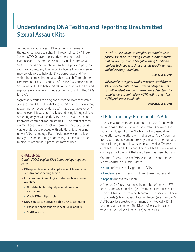## <span id="page-7-0"></span>**Understanding DNA Testing and Reporting: Unsubmitted Sexual Assault Kits**

<span id="page-7-1"></span>Technological advances in DNA testing and leveraging the use of database searches in the Combined DNA Index System (CODIS) have, in part, driven testing of cold-case evidence and unsubmitted sexual assault kits, known as SAKs. If there is documentation, such as a police report, that a crime occurred, any foreign DNA obtained from evidence may be valuable to help identify a perpetrator and link with other crimes through a database search. Through the Department of Justice's Bureau of Justice Assistance National Sexual Assault Kit Initiative (SAKI), funding opportunities and support are available to include testing all unsubmitted SAKs for DNA.

<span id="page-7-2"></span>Significant efforts are being conducted to inventory stored sexual assault kits, but partially tested SAKs also may warrant reexamination. Older evidence still may be suitable for DNA testing, even if it was previously tested using biological fluid screening only or with early DNA tests, such as restriction fragment length polymorphism (RFLP). The results of these examinations may even help determine whether there is viable evidence to proceed with additional testing using newer DNA technology. Even if evidence was partially or mostly consumed during prior testing, extracts and other byproducts of previous processes may be used.

#### **CHALLENGE:**

*Obtain CODIS-eligible DNA from serology negative cases*

- DNA quantification and amplification kits are more sensitive for screening semen.
- **Enzymes used in serological detection break down** over time.
	- Not detectable if digital penetration or no ejaculation
	- Viable DNA still possible
- DNA extracts can provide viable DNA to test using
	- Expanded short tandem repeat (STR) loci kits
	- Y-STR loci kits

*Out of 132 sexual abuse samples, 19 samples were positive for male DNA using Y-chromosome markers that previously screened negative using traditional serology techniques such as prostate specific antigen and microscopy techniques[. 1](#page-9-0)*

(Stange et al., 2014)

*Vulva and low vaginal swabs were recovered from a 19-year-old female 8 hours after an alleged sexual assault incident. No spermatozoa were detected. The samples were submitted for Y-STR testing and a full Y-STR profile was obtained[. 2](#page-9-1)*

(McDonald et al., 2015)

### STR Technology: Prominent DNA Test

DNA is an acronym for deoxyribonucleic acid. Found within the nucleus of the cells in our body, DNA is known as the biological blueprint of life. Nuclear DNA is passed down generation to generation, with half a person's DNA coming from each parent. Humans are very similar to other humans but, excluding identical twins, there are small differences in our DNA that can tell us apart. Forensic DNA testing focuses on the parts of the DNA that are different between humans.

Common forensic nuclear DNA tests look at short tandem repeats (STRs) in our DNA, where

- **\* short** refers to small segments of DNA,
- **tandem** refers to being right next to each other, and
- **\* repeats** means replication.

A forensic DNA test examines the number of times an STR repeats, known as an allele (see Example 1). Because half a person's DNA comes from each parent, each person will have two repeats (alleles) at each location tested (see Example 2). A DNA profile is created when many STRs (typically 15–24 locations) are examined. The DNA profile also indicates whether the profile is female (X,X) or male (X,Y).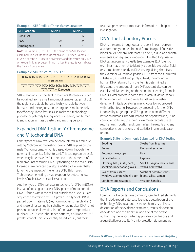### **Example 1.** STR Profile at Three Marker Locations

| <b>STR Location</b> | <b>Allele 1</b> | Allele <sub>2</sub> |
|---------------------|-----------------|---------------------|
| D8S1179             | 10              | 12                  |
| <b>FGA</b>          | 24              | 24                  |
| Amelogenin          |                 |                     |

**Note:** In Example 1, D8S1179 is the name of an STR location examined. The results at this location are 10,12 (see Example 2). FGA is a second STR location examined, and the results are 24,24. Amelogenin is a sex determining marker; the results X,Y indicate the DNA is from a male.

### **Example 2.** STR Structure, D8S1179

### TCTA-TCTA-TCTA-TCTA-TCTA-TCTA-TCTA-TCTA-TCTA-TCTA = 10 repeats

### TCTA-TCTA-TCTA-TCTA-TCTA-TCTA-TCTA-TCTA-TCTA-TCTA- $TCTA-TCTA = 12$  repeats

STR technology is important in forensics. Because data can be obtained from a small amount of sample (i.e., pin drop), the regions are stable but also highly variable between humans, and the regions can be targeted simultaneously for efficiency. These features also make this technology popular for paternity testing, ancestry testing, and human identification in mass disasters and missing persons.

### Expanded DNA Testing: Y-Chromosome and Mitochondrial DNA

Other types of DNA tests can be encountered in a forensic setting. Y-chromosome testing looks at STR regions on the male Y chromosome, which is passed down through the paternal lineage (i.e., father to son). This testing can be useful when very little male DNA is detected in the presence of high amounts of female DNA. By focusing on the male DNA, forensic examiners can develop a Y-STR profile, essentially ignoring the impact of the female DNA. This makes Y-chromosome testing a viable option for detecting low levels of male DNA in sexual assault kits.

Another type of DNA test uses mitochondrial DNA (mtDNA). Instead of looking at nuclear DNA, pieces of mitochondrial DNA—found within the cell but outside the nucleus—are sequenced to create a mtDNA profile. This type of DNA is passed down maternally (i.e., from mother to her children) and is useful for testing hair shafts, where nuclear DNA is not present, or skeletal remains that often have compromised nuclear DNA. Due to inheritance patterns, Y-STR and mtDNA profiles cannot uniquely identify an individual, but these

tests can provide very important information to help with an investigation.

### DNA: The Laboratory Process

DNA is the same throughout all the cells in each person and commonly can be obtained from biological fluids (i.e., blood, saliva, semen), hair roots, skin cells, tissue, and skeletal elements. Consequently, evidence submitted for possible DNA testing can vary greatly (see Example 3). A forensic examiner may attempt to identify a possible biological fluid or submit items directly to DNA testing. Using chemicals, the examiner will remove possible DNA from the submitted substrate (i.e., swab) and purify it. Next, the amount of human DNA retained from the item is determined; at this stage, the amount of male DNA present also can be established. Depending on the scenario, screening for male DNA is a vital process in some sexual assault kit workflows. If the amount of DNA recovered is below established detection limits, laboratories may choose to not proceed with further testing. However, by processing further, DNA is copied by targeting the STR regions that are different between humans. The STR regions are separated and, using computer software, the forensic examiner records the test result at each location and summarizes the results and any comparisons, conclusions, and statistics in a forensic case report.

#### **Example 3.** Items Commonly Submitted for DNA Testing

| Bedding                                                       | Swabs from firearms                                |
|---------------------------------------------------------------|----------------------------------------------------|
| <b>Bones</b>                                                  | Fingernail scrapings                               |
| Bottles, straws, cups                                         | Hair                                               |
| Cigarette butts                                               | Ligatures                                          |
| Clothing: hats, shirts, pants,<br>sneakers, underwear, gloves | Sex kits: vaginal swabs, anal<br>swabs, oral swabs |
| Swabs from surfaces:<br>window, steering wheel, door          | Swabs of possible stains:<br>blood, saliva, semen  |
| Condoms and wrappers                                          | Weapon handles                                     |

### DNA Reports and Conclusions

Forensic DNA reports have common, standardized elements that include report date, case identifier, description of the technology, DNA locations tested or chemistry utilized, description of the evidence examined, results, disposition of evidence, and the signature and title of the person authorizing the report. When applicable, conclusions and a quantitative or qualitative interpretation statement are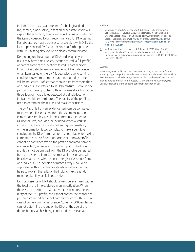<span id="page-9-0"></span>included. If the case was screened for biological fluids (i.e., semen, blood, saliva), a section or separate report will explain the screening, results and conclusions, and whether the item proceeded to or is recommended for DNA testing. For laboratories that screen sexual assault kits with DNA, the lack or presence of DNA and decisions to further proceed with DNA testing also should be clearly communicated.

<span id="page-9-1"></span>Depending on the amount of DNA and its quality, the result may have data at every location tested (a full profile) or data at some of the locations tested (a partial profile). If no DNA is detected—for example, no DNA is deposited on an item tested or the DNA is degraded due to varying conditions over time, temperature, and humidity—there will be no results. Profiles that contain data from more than one individual are referred to as DNA mixtures. Because one person may have up to two different alleles at each location, three, four, or more alleles detected at a single location indicate multiple contributors. The totality of the profile is used to determine the results and make conclusions.

The DNA profile from an evidence item can be compared to known profiles obtained from the victim, suspect, or elimination samples. Results are commonly referred to as inconclusive, excluded, or included. When a result is *inconclusive*, there is typically not enough information, or the information is too complex to make a definitive conclusion; the DNA from that item is not reliable for making comparisons. An *exclusion* supports that a known profile cannot be contained within the profile generated from the evidence item, whereas an *inclusion* supports the known profile cannot be omitted from the DNA profile generated from the evidence item. Sometimes an inclusion also will be called a match, when there is a single DNA profile from one individual. An inclusion or match always should be supported with a quantitative statistical calculation that helps to explain the rarity of the inclusion (e.g., a random match probability or likelihood ratio).

Lack or presence of DNA should always be examined within the totality of all the evidence in an investigation. When there is an inclusion, a quantitative statistic represents the rarity of the DNA profile, and cannot convey the chance the person committed or did not commit the crime. Thus, DNA cannot convey guilt or innocence. Currently, DNA evidence cannot determine the age of the DNA or the age of the donor, but research is being conducted in these areas.

#### References:

- [1.](#page-7-1) Stange, V., Pelição, F. S., Mendonça, J. B., Pissinate, J. F., Barbirato, C., Gonçalves, F. C., … Louro, I. D. (2014, September 30) Increased Male Evidence Detection Rates by Utilization of DNA Markers in Forensic Rape Cases of Espírito Santo, Brazil. A*nnals of Forensic Research and Analysis, 1*(2), 1008. Retrieved from [https://www.jscimedcentral.com/Forensic/](https://www.jscimedcentral.com/Forensic/forensic-1-1008.pdf) [forensic-1-1008.pdf](https://www.jscimedcentral.com/Forensic/forensic-1-1008.pdf)
- [2.](#page-7-2) McDonald, A., Jones, E., Lewis, J., & O'Rourke, P. (2015, March). Y-STR analysis of digital and/or penile penetration cases with no detected spermatozoa. *Forensic Science International: Genetics, 15*, 84–89. doi:10.1016/j. fsigen.2014.10.015

#### Author:

Amy Jeanguenat, MFS, has spent her career working in the private forensic industry supporting efforts worldwide to prevent and eliminate DNA backlogs. Mrs. Jeanguenat helped manage the successful completion of sexual assault kit outsourcing projects from Houston, TX, and Detroit, MI. Currently, Mrs. Jeanguenat works as the principal consultant at Mindgen, LLC.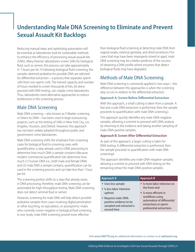## <span id="page-10-0"></span>**Understanding Male DNA Screening to Eliminate and Prevent Sexual Assault Kit Backlogs**

<span id="page-10-3"></span><span id="page-10-1"></span>Reducing manual steps and optimizing automation will be essential as laboratories look for sustainable methods to enhance the efficiency of processing sexual assault kits (SAKs). Many forensic laboratories screen SAKs for biological fluid, such as semen; this process can take approximately 4–7 hours per kit.<sup>[1](#page-12-0)[,2](#page-12-1)</sup> Following biological fluid screening, the samples deemed probative for possible DNA are selected for differential extraction—a process that separates sperm cells from non-sperm cells. The trained capacity and number of hours needed to screen thousands of kits, let alone proceed with DNA testing, can cripple crime laboratories. Thus, laboratories need alternative approaches to reduce bottlenecks in the screening process.

### Male DNA Screening

Male DNA screening—also known as Y-Marker screening or Direct-to-DNA—has been used in large outsourcing projects, such as the testing of SAKs in New York City, Los Angeles, Houston, and Detroit. However, this approach has not been widely adopted throughout public and government crime laboratories.

<span id="page-10-2"></span>Male DNA screening shifts the emphasis from screening cases for biological fluid to screening cases with quantification, a step already used in DNA processing to determine how much DNA a sample contains.<sup>[3](#page-12-2)</sup> Because modern commercial quantification kits determine how much (1) human DNA (i.e., both male and female DNA) and (2) male DNA a sample contains, quantification can be used in the screening process and can take less than 1 hour per kit.

The screening portion shifts to a step that already exists in DNA processing; therefore, male DNA screening can be automated for high-throughput testing. Male DNA screening does not detect seminal fluid or semen.

However, screening for male DNA will help detect possible probative samples from cases involving digital penetration or other touching, no ejaculation, or azoospermic males who currently screen negative in biological fluid screening. In one study, male DNA screening proved more effective

than biological fluid screening at detecting male DNA from vaginal swabs, external genitalia, and dried secretions.<sup>4</sup> For cases that may have been improperly stored or aged, male DNA screening may be a better predictor of the success of obtaining a DNA profile where enzymes that detect biological fluids may have degraded.

## Methods of Male DNA Screening

Male DNA screening is commonly applied in two ways—the difference between the approaches is when the screening step occurs in relation to the differential extraction.

### **Approach A: Screen Before Differential Extraction**

With this approach, a small cutting is taken from a sample. A fast and crude DNA extraction is performed, then the sample proceeds to quantification with male DNA screening.<sup>1</sup>

This approach quickly identifies any male-DNA-negative samples, allowing a scientist to proceed with DNA analysis by returning to the evidence and taking another sampling of male-DNA-positive samples.

### **Approach B: Screen After Differential Extraction**

As part of this approach, a larger cutting is taken for DNA testing. A differential extraction is performed, then the sample proceeds to quantification with male DNA screening.<sup>3</sup>

This approach identifies any male-DNA-negative samples, allowing a scientist to proceed with DNA testing on the remaining extract for male-DNA-positive samples.

| <b>Approach A</b>         | <b>Approach B</b>            |
|---------------------------|------------------------------|
| • Uses less sample        | • Is more labor intensive on |
| • Is less labor intensive | the front-end                |
| upfront                   | • Is more efficient in       |
| ◆ Requires male-DNA-      | workflows using              |
| positive evidence to be   | automation of differential   |
| sampled and extracted a   | extractions or sperm         |
| second time               | preferential extractions     |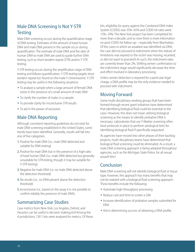## Male DNA Screening Is Not Y-STR **Testing**

Male DNA screening occurs during the quantification stage of DNA testing. Estimates of the amount of total human DNA and male DNA present in the sample occur during quantification. The estimate of male DNA and the ratio of human DNA to male DNA are used to guide further DNA testing, such as short tandem repeat (STR) and/or Y-STR testing.

Y-STR testing occurs during the amplification stage of DNA testing and follows quantification. Y-STR testing targets short tandem repeat loci found on the male Y-chromosome. Y-STR testing may be useful in the following situations:

- To analyze a sample when a large amount of female DNA exists in the presence of a small amount of male DNA
- $\bullet$  To clarify the number of males in a sample
- To provide clarity for inconclusive STR results
- To aid in the power of exclusion.

### Male DNA Reporting

Although consistent reporting guidelines do not exist for male DNA screening established in the United States, some trends have been identified. Generally, results will fall into one of five categories:

- **1.** Positive for male DNA (i.e., male DNA detected and suitable for DNA testing)
- **2.** Positive for male DNA but in the presence of a high ratio of total human DNA (i.e., male DNA detected but generally unsuitable for STR testing, though it may be suitable for Y-STR testing)
- **3.** Negative for male DNA (i.e. no male DNA detected above the detection threshold)
- **4.** No results (i.e., no DNA present above the detection threshold)
- **5.** Inconclusive (i.e., based on the assay it is not possible to confirm reliably the presence of male DNA).

## Summarizing Case Studies

<span id="page-11-0"></span>Case metrics from New York, Los Angeles, Detroit, and Houston can be useful in decision making.<sup>5,[6](#page-12-4)[,7,](#page-12-6)[8](#page-12-7)</sup> Among the 4 jurisdictions, 7,811 kits were analyzed for metrics. Of these kits, eligibility for query against the Combined DNA Index System (CODIS) was 35%–65% and CODIS hit rates were 13%–29%. The New York project has been completed for more than a decade, and so now there is more information on post-CODIS hit follow-up—especially from Manhattan. Of the cases in which an assailant was identified via DNA, the case did not proceed to indictment when the statute of limitations was expired or the victim was missing, recanted, or did not want to proceed.<sup>6</sup> As such, the indictment rates are currently fewer than 2%. Shifting semen confirmation to the indictment stage would significantly decrease the time and effort involved in laboratory processing.

Unless semen detection is required for a particular legal charge, a DNA profile may be the only evidence needed to proceed with indictment.

## Moving Forward

Some multi-disciplinary working groups that have been formed through recent grant initiatives have determined that identifying biological fluid could be essential to the case.<sup>5</sup> However, this does not mean utilizing biological screening as the means to identify probative DNA is necessary. Laboratories that use Y-Marker screening often have protocols in place to perform serological tests for identifying biological fluid if specifically requested.

As agencies have moved into other phases of their backlog projects, multi-disciplinary teams have determined that biological fluid screening could be eliminated. As a result, a male DNA screening approach is being adopted throughout agencies, such as the Michigan State Police, for all sexual assault kits[.5](#page-12-5)

## Conclusion

Male DNA screening will not identify biological fluid or tissue type; however, this approach has many benefits that may not be realized with a biological fluid screening approach. These benefits include the following:

- Automate high-throughput processing
- $\bullet$  Reduce cost and time to screen a SAK
- $\bullet$  Increase identification of probative samples submitted for DNA
- Aid in determining success of obtaining a DNA profile.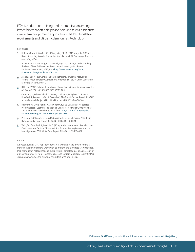Effective education, training, and communication among law enforcement officials, prosecutors, and forensic scientists can determine optimized approaches to address legislative requirements and utilize modern forensic technology.

#### References:

- <span id="page-12-0"></span>[1](#page-10-1). Holt, A., Olson, S., Marfori, M., & Yong Ning Oh, D. (2015, August). A DNA-Based Screening Assay to Streamline Sexual Assault Kit Processing. *American Laboratory. 47*(6).
- <span id="page-12-1"></span>[2.](#page-10-1) Archambault, J., Lonsway, K., O'Donnell, P. (2014, January). Understanding the Role of DNA Evidence in a Sexual Assault Investigation: Part 6. Retrieved November 8, 2017, from [http://www.evawintl.org/library/](http://www.evawintl.org/library/DocumentLibraryHandler.ashx?id=50) [DocumentLibraryHandler.ashx?id=50](http://www.evawintl.org/library/DocumentLibraryHandler.ashx?id=50)
- <span id="page-12-2"></span>[3.](#page-10-2) Jeanguenat, A. (2014, May). Increasing Efficiency of Sexual Assault Kit Testing Through Male DNA Screening. American Society of Crime Laboratory Directors Meeting. Poster.
- <span id="page-12-3"></span>[4.](#page-10-3) Ritter, N. (2012). Solving the problem of untested evidence in sexual assaults. *NIJ Journal, 270*. doi:10.1037/e725202011-005
- <span id="page-12-5"></span>[5.](#page-11-0) Campbell, R., Fehler-Cabral, G., Pierce, S., Sharma, D., Bybee, D., Shaw, J., Horsford, S., Feeney, H. (2015, December). The Detroit Sexual Assault Kit (SAK) Action Research Project (ARP). Final Report. NIJ # 2011-DN-BX-0001.
- <span id="page-12-4"></span>[6.](#page-11-0) Bashford, M. (2013, February). New York City's Sexual Assault Kit Backlog Project: Lessons Learned. The National Center for Victims of Crime Webinar Series. Retrieved November 8, 2017, from [http://victimsofcrime.org/docs/](http://victimsofcrime.org/docs/DNA%20Trainings/brashford-slides.pdf?sfvrsn=0) [DNA%20Trainings/brashford-slides.pdf?sfvrsn=0](http://victimsofcrime.org/docs/DNA%20Trainings/brashford-slides.pdf?sfvrsn=0)
- <span id="page-12-6"></span>[7.](#page-11-0) Peterson, J., Johnson, D., Herz, D., Graziano, L., Oehler, T. Sexual Assault Kit Backlog Study. Final Report 3.5.12. NIJ #2006-DN-BX-0094.
- <span id="page-12-7"></span>[8.](#page-11-0) Wells, W., Campbell, B., Franklin, C. (2016, April). Unsubmitted Sexual Assault Kits in Houston, TX: Case Characteristics, Forensic Testing Results, and the Investigation of CODIS Hits, Final Report. NIJ # 2011-DN-BX-0002.

#### Author:

Amy Jeanguenat, MFS, has spent her career working in the private forensic industry supporting efforts worldwide to prevent and eliminate DNA backlogs. Mrs. Jeanguenat helped manage the successful completion of sexual assault kit outsourcing projects from Houston, Texas, and Detroit, Michigan. Currently Mrs. Jeanguenat works as the principal consultant at Mindgen, LLC.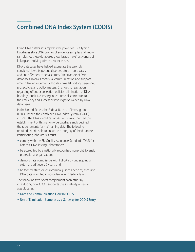## <span id="page-13-0"></span>**Combined DNA Index System (CODIS)**

Using DNA databases amplifies the power of DNA typing. Databases store DNA profiles of evidence samples and known samples. As these databases grow larger, the effectiveness of linking and solving crimes also increases.

DNA databases have helped exonerate the wrongly convicted, identify potential perpetrators in cold cases, and link offenders to serial crimes. Effective use of DNA databases involves continual communication and support among law enforcement officials, crime laboratory personnel, prosecutors, and policy makers. Changes to legislation regarding offender collection policies, elimination of DNA backlogs, and DNA testing in real-time all contribute to the efficiency and success of investigations aided by DNA databases.

In the United States, the Federal Bureau of Investigation (FBI) launched the Combined DNA Index System (CODIS) in 1998. The DNA Identification Act of 1994 authorized the establishment of this nationwide database and specified the requirements for maintaining data. The following required criteria help to ensure the integrity of the database. Participating laboratories must

- comply with the FBI Quality Assurance Standards (QAS) for Forensic DNA Testing Laboratories;
- $\bullet$  be accredited by a nationally recognized nonprofit, forensic professional organization;
- demonstrate compliance with FBI QAS by undergoing an external audit every 2 years; and
- $\bullet$  be federal, state, or local criminal justice agencies; access to DNA data is limited in accordance with federal law.

The following two briefs complement each other by introducing how CODIS supports the solvability of sexual assault cases:

- Data and Communication Flow in CODIS
- Use of Elimination Samples as a Gateway for CODIS Entry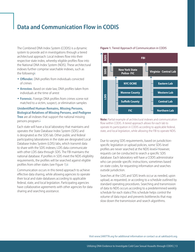## <span id="page-14-0"></span>**Data and Communication Flow in CODIS**

The Combined DNA Index System (CODIS) is a dynamic system to provide aid in investigations through a tiered architectural approach: Local indexes flow into their respective state index, whereby eligible profiles flow into the National DNA Index System (NDIS). These architectural indexes further comprise searchable indexes, such as the following<sup>1</sup>:

- <span id="page-14-1"></span>**+ Offender.** DNA profiles from individuals convicted of crimes
- **\* Arrestee.** Based on state law, DNA profiles taken from individuals at the time of arrest
- **\* Forensic.** Foreign DNA profiles from crimes scene not matched to a victim, suspect, or elimination samples

### **Unidentified Human Remains, Missing Persons, Biological Relatives of Missing Persons, and Pedigree Tree** are all indexes that support the national missing persons program.<sup>1</sup>

<span id="page-14-3"></span>Each state will have a local laboratory that maintains and operates the State Database Index System (SDIS) and is designated as the SDIS lab. Other public and federal participating laboratories in the state are designated Local Database Index System (LDIS) labs, which transmit data to share with the SDIS indexes; LDIS data communicate with other LDIS data through SDIS. The FBI maintains the national database. If profiles in SDIS meet the NDIS eligibility requirements, the profiles will be searched against eligible profiles from other states (see Figure 1).<sup>2</sup>

<span id="page-14-2"></span>Communication occurs in this tiered approach to achieve effective data sharing, while allowing agencies to operate their local and state databases according to applicable federal, state, and local legislation. Participating agencies have collaborative agreements with other agencies for data sharing and searching assistance.

### **FBI New York State Police- FIC NYC OCME Monroe County Suffolk County FIC NDIS SDIS LDIS Eastern Lab Western Lab Central Lab Northern Lab Virginia- Central Lab**

#### **Figure 1.** Tiered Approach of Communication in CODIS

**Note:** Partial example of architectural indexes and communication flow within CODIS. A tiered approach allows for each lab to operate its participation in CODIS according to applicable federal, state, and local legislation, while allowing the FBI to operate NDIS.

Due to varying SDIS requirements, based on jurisdictionspecific legislation or upload policies, some SDIS-level profiles are never searched at the NDIS level.<sup>3</sup> However, requests can be conducted to search a specific SDIS database. Each laboratory will have a CODIS administrator who can provide specific instructions, sometimes based on state codes, for requesting information and searches outside jurisdiction.

Searches at the LDIS and SDIS levels occur as needed, upon upload, as requested, or according to a schedule outlined by standard operating procedures. Searching and transmission of data to NDIS occurs according to a predetermined weekly schedule for each state.<sup>2</sup> This schedule helps control the volume of data input and prevents bottlenecks that may slow down the transmission and search algorithms.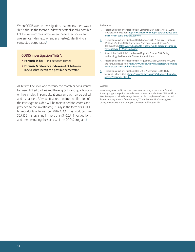<span id="page-15-4"></span><span id="page-15-1"></span><span id="page-15-0"></span>When CODIS aids an investigation, that means there was a "hit" either in the forensic index that established a possible link between crimes, or between the forensic index and a reference index (e.g., offender, arrestee), identifying a suspected perpetrator.<sup>[4](#page-15-3)</sup>

#### <span id="page-15-2"></span>**CODIS investigation "hits":**

- <span id="page-15-3"></span>**Eorensic index**—link between crimes
- w **Forensic & reference indexes**—link between indexes that identifies a possible perpetrator

<span id="page-15-6"></span><span id="page-15-5"></span>All hits will be reviewed to verify the match or consistency between linked profiles and the eligibility and qualification of the samples. In some situations, samples may be pulled and reanalyzed. After verification, a written notification of the investigation aided will be maintained for records and provided to the investigator, usually in the form of a CODIS hit report.<sup>4</sup> As of November 2016, CODIS has produced over 355,535 hits, assisting in more than 340,554 investigations and demonstrating the success of the CODIS program.<sup>5</sup>

References:

- [1.](#page-14-1) Federal Bureau of Investigation (FBI). Combined DNA Index System (CODIS) Brochure. Retrieved from [https://www.fbi.gov/file-repository/combined-dna](https://www.fbi.gov/file-repository/combined-dna-index-system-codis-brochure.pdf/view)[index-system-codis-brochure.pdf/view](https://www.fbi.gov/file-repository/combined-dna-index-system-codis-brochure.pdf/view)
- [2.](#page-14-2) Federal Bureau of Investigation (FBI) Laboratory. (2017, January 1). National DNA Index System (NDIS) Operational Procedures Manual, Version 5. Retrieved from [https://www.fbi.gov/file-repository/ndis-procedures-manual](https://www.fbi.gov/file-repository/ndis-procedures-manual-ver4-approved-04272016.pdf/view)[ver4-approved-04272016.pdf/view](https://www.fbi.gov/file-repository/ndis-procedures-manual-ver4-approved-04272016.pdf/view)
- [3.](#page-14-3) Butler, John. (2011, July 21). Advanced Topics in Forensic DNA Typing: Methodology. Waltham, MA: Elsevier Academic Press.
- [4.](#page-15-4) Federal Bureau of Investigation (FBI). Frequently Asked Questions on CODIS and NDIS. Retrieved from [https://www.fbi.gov/services/laboratory/biometric](https://www.fbi.gov/services/laboratory/biometric-analysis/codis/codis-and-ndis-fact-sheet)[analysis/codis/codis-and-ndis-fact-sheet](https://www.fbi.gov/services/laboratory/biometric-analysis/codis/codis-and-ndis-fact-sheet)
- [5.](#page-15-5) Federal Bureau of Investigation (FBI). (2016, November). CODIS-NDIS Statistics. Retrieved from [https://www.fbi.gov/services/laboratory/biometric](https://www.fbi.gov/services/laboratory/biometric-analysis/codis/ndis-statistics)[analysis/codis/ndis-statistics](https://www.fbi.gov/services/laboratory/biometric-analysis/codis/ndis-statistics)

#### Author:

Amy Jeanguenat, MFS, has spent her career working in the private forensic industry supporting efforts worldwide to prevent and eliminate DNA backlogs. Mrs. Jeanguenat helped manage the successful completion of sexual assault kit outsourcing projects from Houston, TX, and Detroit, MI. Currently, Mrs. Jeanguenat works as the principal consultant at Mindgen, LLC.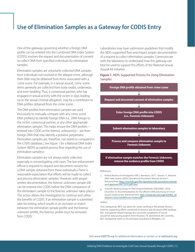## <span id="page-16-0"></span>**Use of Elimination Samples as a Gateway for CODIS Entry**

One of the gateways governing whether a foreign DNA profile can be entered into the Combined DNA Index System (CODIS) involves the request and documentation of consent to collect DNA from specified individuals for elimination samples.

Elimination samples are voluntarily collected DNA samples from individuals not involved in the alleged crime, although their DNA may be obtained from items associated with a crime scene. For example, in a sexual assault, crime scene items generally are collected from body swabs, underwear, and even bedding. Thus, a consensual partner, who has engaged in sexual activity with the victim in days leading up to the sexual criminal allegation, may be a contributor to DNA profiles obtained from the crime scene.

The DNA profiles from elimination samples are used exclusively to manually compare with any crime scene DNA profile(s) to identify foreign DNA (i.e., DNA foreign to the victim, consensual partner, or any other appropriate elimination sample). This helps ensure the DNA profiles entered into CODIS as the forensic unknown(s)—are from foreign DNA that may identify a putative perpetrator. Elimination samples are, therefore, not stored or compared in the CODIS database.<sup>[1](#page-16-1)</sup> See Figure 1 for a National DNA Index System (NDIS)-accepted process flow regarding the use of elimination samples.<sup>2</sup>

<span id="page-16-4"></span><span id="page-16-3"></span><span id="page-16-2"></span><span id="page-16-1"></span>Elimination samples are not always easily collected, especially in reinvestigating cold cases. The law enforcement official is required to request and document consent for a DNA sample obtained from these individuals.<sup>1</sup> There is reasonable expectation that efforts will be made to collect and process elimination samples. However, with proper written documentation, the forensic unknown sample still can be entered into CODIS before the DNA comparison of the elimination sample to the forensic unknown takes place.<sup>2</sup> This action allows the investigation to continue and utilize the benefits of CODIS. If an elimination sample is submitted later for testing, which results in an inclusion or match between the elimination sample profile and the forensic unknown profile, the forensic profile must be removed from CODIS.

Laboratories may have submission guidelines that modify the NDIS-supported flow and impact proper documentation of a request to collect elimination samples. Communicate with the laboratory to understand how this gateway can best be used to support the efforts of the National Sexual Assault Kit Initiative.

### **Figure 1.** NDIS-Supported Process for Using Elimination Samples



#### References:

- [1.](#page-16-3) Federal Bureau of investigation (FBI) L aboratory. (2017, January 1). National DNA Index System (NDIS) Operational Procedures Manual, Version 5. Retrieved from [https://www.fbi.gov/file-repository/ndis-procedures-manual](https://www.fbi.gov/file-repository/ndis-procedures-manual-ver4-approved-04272016.pdf/view)[ver4-approved-04272016.pdf/view](https://www.fbi.gov/file-repository/ndis-procedures-manual-ver4-approved-04272016.pdf/view)
- [2.](#page-16-4) Scientific Working Group on DNA Analysis Methods (SWGDAM). (2016, December 5). Recommendations for the efficient DNA processing of sexual assault evidence kits. Retrieved from: [http://media.wix.com/ugd/4344b0\\_4d](http://media.wix.com/ugd/4344b0_4daf2bb5512b4e2582f895c4a133a0ed.pdf) [af2bb5512b4e2582f895c4a133a0ed.pdf](http://media.wix.com/ugd/4344b0_4daf2bb5512b4e2582f895c4a133a0ed.pdf)

#### Author:

Amy Jeanguenat, MFS, has spent her career working in the private forensic industry supporting efforts worldwide to prevent and eliminate DNA backlogs. Mrs. Jeanguenat helped manage the successful completion of sexual assault kit outsourcing projects from Houston, TX, and Detroit, MI. Currently, Mrs. Jeanguenat works as the principal consultant at Mindgen, LLC.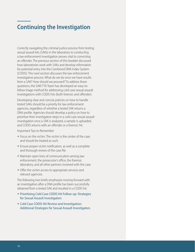## <span id="page-17-0"></span>**Continuing the Investigation**

Correctly navigating the criminal justice process from testing sexual assault kits (SAKs) in the laboratory to conducting a law enforcement investigation proves vital to convicting an offender. The previous section of this booklet discussed how laboratories work with SAKs and develop information for potential entry into the Combined DNA Index System (CODIS). This next section discusses the law enforcement investigative process. What do we do once we have results from a SAK? How should we proceed? To address these questions, the SAKI TTA Team has developed an easy-tofollow triage method for addressing cold case sexual assault investigations with CODIS hits (both forensic and offender).

Developing clear and concise policies on how to handle tested SAKs should be a priority for law enforcement agencies, regardless of whether a tested SAK returns a DNA profile. Agencies should develop a policy on how to prioritize their investigative steps in a cold case sexual assault investigation once a SAK is analyzed, a sample is uploaded, and CODIS returns with an offender or a forensic hit.

Important Tips to Remember

- Focus on the victim. The victim is the center of the case and should be treated as such.
- $\bullet$  Ensure proper victim notification, as well as a complete and thorough review of the case file.
- $\bullet$  Maintain open lines of communication among law enforcement, the prosecutor's office, the forensic laboratory, and all other partners involved with the case.
- $\bullet$  Offer the victim access to appropriate services and relevant agencies.

The following two briefs emphasize moving forward with an investigation after a DNA profile has been successfully obtained from a tested SAK and resulted in a CODIS hit:

- w Prioritizing Cold Case CODIS Hit Follow-up: Strategies for Sexual Assault Investigators
- Cold Case CODIS Hit Review and Investigation: Additional Strategies for Sexual Assault Investigators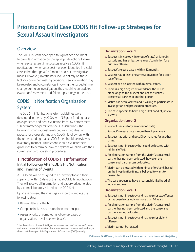## <span id="page-18-0"></span>**Prioritizing Cold Case CODIS Hit Follow-up: Strategies for Sexual Assault Investigators**

## **Overview**

The SAKI TTA Team developed this guidance document to provide information on the appropriate actions to take when sexual assault investigators receive a CODIS hit notification—when a suspect has been identified in a cold case, either through a DNA match or other investigative means. However, investigators should not rely on these factors alone when making decisions. New information may be revealed and circumstances involving the suspect(s) may change during an investigation, thus requiring an updated evaluation/assessment and follow-up strategy in the case.

## <span id="page-18-2"></span>CODIS Hit Notification Organization System

The CODIS Hit Notification system guidelines were developed in the early 2000s with NIJ grant funding based on experience and peer evaluation from law enforcement subject matter experts from sexual assault units. The following organizational levels outline a prioritization process for proper staffing and CODIS hit follow-up, with the understanding that all CODIS hits should be reviewed in a timely manner. Jurisdictions should evaluate these guidelines to determine how this system will align with their current standard operating procedures.

### **1. Notification of CODIS Hit Information** Initial Follow-up After CODIS Hit Notification and Timeline of Events

A CODIS hit will be assigned to an investigator and their supervisor within 5 days of the initial CODIS hit notification. They will receive all information and paperwork generated by a crime laboratory related to the CODIS hit.

Upon assignment, the investigator should complete the following steps:

- $\triangle$  Review details of the hit.
- Complete initial research on the named suspect.
- Assess priority of completing follow-up based on organizational level (see text boxes).

### **Organization Level 1**

- **a.** Suspect is in custody (in or out of state) or is not in custody and has at least one arrest/conviction for a prior sex offense.
- **b.** Suspect's release date is within 12 months.
- **c.** Suspect has at least one arrest/conviction for a prior sex offense.
- d. Suspect can be located with minimal effort.<sup>[1](#page-18-1)</sup>
- **e.** There is a high degree of confidence the CODIS hit belongs to the suspect and not the victim's consensual partner or another person.
- **f.** Victim has been located and is willing to participate in investigation and prosecution processes.
- **g.** The case appears to have a high likelihood of judicial success.

### **Organization Level 2**

- **a.** Suspect is in custody (in or out of state).
- **b.** Suspect's release date is more than 1 year away.
- **c.** Suspect has prior and post DNA matches for another crime.
- **d.** Suspect is not in custody but could be located with minimal effort.<sup>1</sup>
- **e.** An elimination sample from the victim's consensual partner has not been collected; however, the consensual partner can be located.
- f. Victim can be located with minimal effort<sup>[1](#page-18-1)</sup> and, based on the investigative filing, is believed to want to prosecute.
- **g.** The case appears to have a reasonable likelihood of judicial success.

### **Organization Level 3**

- **a.** Suspect is not in custody and has no prior sex offenses or has been in custody for more than 10 years.
- **b.** An elimination sample from the victim's consensual partner has not been collected and the consensual partner cannot be located.
- **c.** Suspect is not in custody and has no prior violent offenses.
- **d.** Victim cannot be located.

<span id="page-18-1"></span><sup>&</sup>lt;sup>[1](#page-18-2)</sup> Involves a basic criminal/intelligence database search of the suspect's name and returns relevant information that shows a current home or work address, or shows that the suspect is in Department of Corrections (DOC) custody.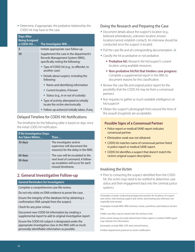$\bullet$  Determine, if appropriate, the probative relationship the CODIS hit may have to the case.

<span id="page-19-7"></span>

| <b>Days After</b><br><b>Being Assigned</b><br>a CODIS Hit | The Investigator Will                                                                                             |
|-----------------------------------------------------------|-------------------------------------------------------------------------------------------------------------------|
| 3                                                         | Initiate appropriate case follow-up                                                                               |
| 30                                                        | Supplement the case in the department's<br>Records Management System (RMS),<br>specifically noting the following: |
|                                                           | ◆ Type of CODIS hit (e.g., to offender, to<br>another case)                                                       |
|                                                           | • Details about suspect, including the<br>following:                                                              |
|                                                           | • Name and identifying information                                                                                |
|                                                           | <b>Current location, if known</b>                                                                                 |
|                                                           | Status (e.g., in or out of custody)                                                                               |
|                                                           | • Type of activity attempted to initially<br>locate the victim electronically                                     |
|                                                           | • Follow-up action(s) <sup>2</sup> initially taken, if any.                                                       |

### <span id="page-19-9"></span><span id="page-19-8"></span><span id="page-19-6"></span>Delayed Timeline for CODIS Hit Notifications

The timeframe for the following table is based on days since the initial CODIS hit notification.

| <b>If No Investigative Steps</b><br>Are Taken Within | Then $\dots$                                                                                   |
|------------------------------------------------------|------------------------------------------------------------------------------------------------|
| 30 days                                              | The investigator and/or<br>supervisor will document the<br>reason(s) for the delay in the RMS. |
| 60 days                                              | The case will be escalated to the                                                              |
| 90 days                                              | next level of command. A follow-<br>up escalation will occur for each<br>missed timeframe.     |

### **2. General Investigative Follow-up**

### <span id="page-19-10"></span>**General Reminders for Investigators**

Complete a comprehensive case file review.

<span id="page-19-0"></span>Do not rely solely on DNA evidence to prove the case.

Ensure the integrity of the database hit by obtaining a confirmation DNA sample from the suspect.

<span id="page-19-3"></span>Check for any prior crimes.

<span id="page-19-4"></span>Document new CODIS hit information by creating a supplemental report to add to original investigative report.

<span id="page-19-5"></span><span id="page-19-2"></span><span id="page-19-1"></span>Ensure the CODIS hit subject is designated under the appropriate investigative class in the RMS with as much personally identifiable information as possible.

### Doing the Research and Preparing the Case

- Document details about the suspect's location (e.g., believed whereabouts, unknown location, known location/cannot establish contact). An interview should be conducted once the suspect is located.
- $\bullet$  Pull the case file and all corresponding documentation.  $3,4$
- Classify the hit as probative or not probative.
	- **Probative hit:** Research the hit/suspect's current location using available resources.
	- **Non-probative hit/hit that hinders case progress:** Complete a supplemental report in the RMS to document reasons for this classification.
- $\bullet$  Review the case file and original police report for the possibility that the CODIS hit may be from a consensual partner.<sup>5</sup>
- $\bullet$  Run inquiries to gather as much available intelligence on hit/suspect.<sup>6</sup>
- Obtain the suspect's photograph from around the time of the assault (mugshots are acceptable).

### **Possible Signs of a Consensual Partner**

- Police report or medical/SANE report indicates consensual partner.
- $\bullet$  Elimination swab was not obtained.
- CODIS hit matches name of consensual partner listed in police report or medical SANE report.
- CODIS hit identifies a suspect that doesn't match the victim's original suspect description.

### Involving the Victim

• Prior to contacting the suspect identified from the CODIS hit, the victim may need to be notified to determine case status and their engagement back into the criminal justice system.<sup>7</sup>

<sup>[2](#page-19-6)</sup> Examples include conducting background searches for locations of suspect and victim, interviewing suspect and victim, and locating any witnesses not originally interviewed.

<sup>[3](#page-19-7)</sup> Examples include RMS, RMS-Archives, Invize, Laserfiche, and Evidence Section File.

[4](#page-19-7) Older case files may be stored with the Archives Unit.

<sup>[5](#page-19-8)</sup>This cannot always be easily determined. Police report or medical SANE report may indicate this information.

- [6](#page-19-9) Examples include RMS, P2P, and criminal history.
- [7](#page-19-10) Follow department protocol on victim notification.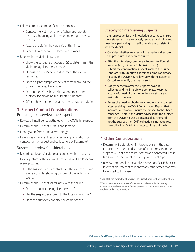- Follow current victim notification protocols.
	- **Contact the victim by phone (when appropriate);** discuss scheduling an in-person meeting to review the case.
	- Assure the victim they are safe at this time.
	- **Schedule a convenient place/time to meet.**
- <span id="page-20-2"></span> $\bullet$  Meet with the victim in person
	- **Show the suspect's photograph(s) to determine if the** victim recognizes the suspect.<sup>8</sup>
	- Discuss the CODIS hit and document the victim's response.
	- Obtain a photograph of the victim from around the time of the rape, if available.
	- **Explain the CODIS hit confirmation process and** protocol for providing regular status updates.
	- Offer to have a rape crisis advocate contact the victim.

## **3. Suspect Contact Considerations**

### Preparing to Interview the Suspect

- Review all intelligence gathered on the CODIS hit suspect.
- $\bullet$  Determine the suspect's status and location.
- $\bullet$  Identify a preferred interview strategy.
- <span id="page-20-3"></span>• Have a search warrant ready to serve in preparation for contacting the suspect and collecting a DNA sample.<sup>9</sup>

### Suspect Interview Considerations

- Record (audio and/or video) all contact with the suspect.
- Have a picture of the victim at time of assault and/or crime scene pictures.
	- If the suspect denies contact with the victim or crime scene, consider showing pictures of the victim and scene.
- <span id="page-20-1"></span><span id="page-20-0"></span> $\bullet$  Determine the suspect's familiarity with the crime.
	- **-** Does the suspect recognize the victim?
	- Has the suspect ever been to the location of crime?
	- **Does the suspect recognize the crime scene?**

### **Strategy for Interviewing Suspects**

If the suspect denies any knowledge or contact, ensure those statements are accurately recorded and follow-up questions pertaining to specific details are consistent with the denial.

- Consider whether an arrest will be made and ensure the prosecutor has been consulted.
- After the interview, complete a Request for Forensic Services (e.g., Evidence Submission Form) to submit the confirmation suspect swab to the Crime Laboratory; this request allows the Crime Laboratory to verify the CODIS hit. Follow-up with the Evidence Custodian to verify the swab is sent.
- Notify the victim after the suspect's swab is collected and the interview is complete. Keep the victim informed of changes in the case status and verification process.
- w Assess the need to obtain a warrant for suspect arrest after receiving the CODIS Confirmation Report that indicates verification. Ensure the prosecutor has been consulted. (Note: If the victim advises that the subject from the CODIS hit was a consensual partner and not the suspect, then DNA collection is not required. Direct the CODIS Administrator to close out the hit.

### **4. Other Considerations**

- $\bullet$  Determine if a statute of limitations exists. If the case is outside the identified statute of limitations, then the suspect will not need to be located and contacted. These facts will be documented in a supplemental report.
- Review additional crime analysis based on CODIS hit case information. Attempt to identify any other cases that may be related to this case.

<sup>&</sup>lt;sup>[8](#page-20-2)</sup> Don't tell the victim the photo is of the suspect prior to showing the photo.

[<sup>9</sup>](#page-20-3) This is to obtain necessary confirmation buccal swabs for laboratory examination and comparison. Do not present this document to the suspect until the end of the interview.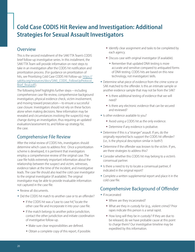## <span id="page-21-0"></span>**Cold Case CODIS Hit Review and Investigation: Additional Strategies for Sexual Assault Investigators**

## **Overview**

This is the second installment of the SAKI TTA Team's CODIS brief follow-up investigative series. In this installment, the SAKI TTA Team will provide information on next steps to take in an investigation after the CODIS hit notification and prioritization process. (For guidance on prioritization of hits, see Prioritizing Cold Case CODIS Hit Follow-up: [https://](https://sakitta.org/resources/docs/SAKI_CODIS_FollowUpProtocol_Brief_final.pdf) sakitta.org/resources/docs/SAKI\_CODIS\_FollowUpProtocol [Brief\\_final.pdf\)](https://sakitta.org/resources/docs/SAKI_CODIS_FollowUpProtocol_Brief_final.pdf).

The following brief highlights further steps—including comprehensive case file review, comprehensive background investigation, physical evidence check, victim involvement, and moving toward prosecution—to ensure a successful case closure. Investigators should not rely on these factors alone when making decisions. New information may be revealed and circumstances involving the suspect(s) may change during an investigation, thus requiring an updated evaluation/assessment to, and follow-up strategy for, the case.

## Comprehensive File Review

After the initial review of CODIS hits, investigators should determine which cases to address first. Once a prioritization scheme is developed, it is pertinent that investigators employ a comprehensive review of the original case. The case file holds extremely important information about the relationship between the suspect and victim, witnesses, evidence taken at the time of the incident, and investigative leads. The case file should also lead the cold case investigator to the original investigator (if available). The original investigator may be able to provide invaluable information not captured in the case file.

- Review all documents.
- Did the CODIS hit match to another case or to an offender?
	- If the CODIS hit was a "case to case hit," locate the other case file and incorporate it into your case file.
	- If the match belongs to another police jurisdiction, contact the other jurisdiction and initiate coordination of investigative follow-up.
		- $\bullet$  Make sure clear responsibilities are defined.
		- Obtain a complete copy of this report, if possible.
- I dentify clear assignment and tasks to be completed by each agency.
- Discuss case with original investigator (if available).
	- $\bullet$  Remember that updated DNA testing is more accurate and sensitive compared to antiquated forms of DNA testing. CODIS hits are based on this new technology, not investigators' skills.
- Determine what piece of evidence from the crime scene or SAK matched to the offender. Is this an intimate sample or another evidence sample that may not be from the SAK?
	- If Is there additional testing of evidence that we will need?
	- If Is there any electronic evidence that can be secured and reviewed?
- Is other evidence available to you?
	- Avoid using a CODIS hit as the only evidence.
	- **Determine if any evidence is probative.**
- Determine if this is a "stranger" assault. If yes, do the originally reported facts support the CODIS hit offender? (i.e., Is the physical description similar in both?)
- Determine if the offender was known to the victim. If yes, are there strategies to address this?
- Consider whether this CODIS hit may belong to a victim's consensual partner.
- $\bullet$  Is there a need to try to locate a consensual partner, if indicated in the original report?
- $\bullet$  Complete a written supplemental report and place it in the cold case file.

## Comprehensive Background of Offender

- $\bullet$  If incarcerated
	- Where are they incarcerated?
	- What are they in custody for (e.g., violent crime)? Prior rapes indicate this person is a serial rapist.
	- **How long will they be in custody?** If they are due to be released, do we have probable cause at this point to charge them? Our investigative timeline may be expedited by this information.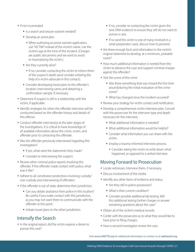- $\bullet$  If not incarcerated
	- If Is a search and seizure warrant needed?
	- **Develop an arrest plan** 
		- $*$  When authoring an arrest warrant application, use "VICTIM" instead of the victim's name. Use the victim's age at the time of the incident. (Charges are public documents and we want to avoid re-traumatizing the victim.)
	- Are they currently alive?
		- $*$  If no, consider contacting the victim to inform them of the suspect's death (and consider enlisting the help of a victim advocate in this contact).
	- **Consider developing travel plans to the offender's** location; interviewing same; and obtaining a confirmation sample, if necessary.
- $\bullet$  Determine if suspect is still in a relationship with the victim, if applicable.
- Identify strategies for when the offender interview will be conducted based on the offender history and details of this offense.
- $\bullet$  Conduct offender interview(s) at the later stages of the investigations. It is critical to have knowledge of all available information about the crime, victim, and offender prior to contacting the offender.
- $\bullet$  Was the offender previously interviewed regarding this investigation?
	- If yes, what were the statements they made?
	- **Consider re-interviewing the suspect.**
- $\bullet$  Review other criminal police reports involving this offender. If the offender made contact with police, what was it like?
- Adhere to all constitution protections involving custody/ non-custody and interviewing of offenders.
- If the offender is out of state, determine their jurisdiction.
	- Can you obtain assistance from police in this location? Be careful if you make contact with this jurisdiction, as you may not want them to communicate with the offender at this point.
	- **Initiate travel plans to the other jurisdiction.**

## Intensify the Search

 $\bullet$  In the original report, did the victim express a desire to pursue this case?

- If no, consider re-contacting the victim given the new DNA evidence to ensure they still do not want to pursue a case.
- If no (and the victim is one of many involved in a serial-perpetrator case), discuss how to proceed.
- Are there enough facts and information in the victim's original statement to develop, at a minimum, probable cause?
- $\bullet$  How much additional information is needed from the victim to advance the case and support criminal charges against the offender?
- $\bullet$  Visit the scene of the crime
	- Was there something that was missed the first time around/during the initial evaluation of the crime scene?
	- What has changed since the incident occurred?
- Review your strategy for victim contact and notification.
- Develop a comprehensive victim interview plan. Consult with the prosecutor for the interview type and depth necessary for this interview.
	- What additional information is needed?
	- What additional information would be helpful?
	- Consider what information you can share with the victim.
	- **Employ a trauma-informed interview process.** 
		- $\bullet$  Consider asking the victim to write down what happened, as opposed to a verbal interview.

### Moving Forward to Prosecution

- $\bullet$  Locate witnesses; interview them, if necessary.
- $\bullet$  Discuss involvement of the media.
- Identify any other items of evidence and status.
	- Are they still in police possession?
	- What is their current condition?
	- Consider possible additional lab testing. Will this additional testing further charges or answer remaining questions about the case?
- Obtain all of the victim's medical records.
- $\bullet$  Confer with the prosecutor as to what they would like to have prior to filing charges.
- $\bullet$  Have a second investigator review the case.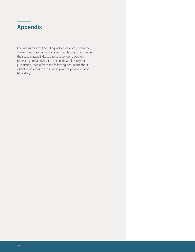## <span id="page-23-0"></span>**Appendix**

For various reasons (including lack of resources, personnel, and/or funds), some jurisdictions may choose to outsource their sexual assault kits to a private vendor laboratory for testing and analysis. If this scenario applies to your jurisdiction, then refer to the following document about establishing a positive relationship with a private vendor laboratory.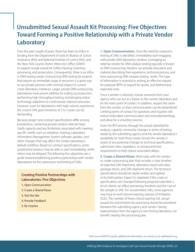## <span id="page-24-0"></span>**Unsubmitted Sexual Assault Kit Processing: Five Objectives Toward Forming a Positive Relationship with a Private Vendor Laboratory**

Over the past couple of years, there has been an influx in funding from the Department of Justice's Bureau of Justice Assistance (BJA) and National Institute of Justice (NIJ), and the New York County District Attorney's Office (DANY) to support sexual assault kit (SAKs) tracking, inventory, processing, and prosecution. Consequently, there is an influx in DNA testing needs. Outsourcing DNA testing for projects that require an immediate surge in resources is a great way to use private partners with minimal impact to current crime laboratory initiatives. Larger, private DNA outsourcing laboratories have proven abilities for scaling up production, performing high-throughput testing, and bringing online technology adoptions to continuously improve processes. However, even for laboratories with high-volume experience, the current SAK grant timelines of 2 to 3 years can be demanding.

Because project and contract specifications differ among jurisdictions, contacting private vendors directly helps clarify capacity and any limitations associated with meeting specific needs, such as validation, training, Laboratory Information Management System software updates, and other changes that may affect the vendor laboratory's default workflow. Based on contract specifications, some jurisdictions' projects may be able to start immediately, while others may be delayed. The following five objectives are a guide toward establishing positive partnerships with vendor laboratories for the submission and testing of SAKs:

### **Creating Positive Partnerships with Laboratories: Five Objectives**

- **1.** Open Communication
- **2.** Create a Shared Vision
- **3.** Visit the Site
- **4.** Provide Feedback
- **5.** Be Creative

**1. Open Communication.** Once the need for outsource testing of SAKs is identified, immediately start engaging with private DNA laboratory vendors. Leveraging an external vendor for DNA analysis testing typically is known as DNA outsourcing. Vendors can provide education and material describing their experience, technical process, and how outsourcing DNA analysis testing works. This type of information is essential to writing an effective request for proposal (RFP) or request for quote, and determining expected costs.

Once a vendor is selected, choose someone from your agency who can act as a liaison to the vendor laboratory and be the main point of contact. In addition, request the same from the vendor, so that communication can be streamlined. Limiting points of contact for questions and inquiries will reduce redundant communication and misunderstandings, and allow for a smoother process.

From the RFP process through the actual submittal for analysis, capacity commonly changes in terms of testing needs by the submitting agency and the vendor laboratory's availability to meet those needs. Ensure the vendor is aware of any potential changes to technical specifications, submission rates, legislation, or turnaround time requirements to help reduce associated delays.

**2. Create a Shared Vision.** Work early with the vendor to create a processing plan that includes a clear timeline of expected SAK shipments, laboratory report and data package return, and SAK shipment return. The technical specifications should be clearly written and agreed to by both parties. Expect to negotiate if the scope or specifications are changed following proposal submittal; a lot of criteria can affect processing timelines and the cost of the sample or SAK. For unsubmitted SAKs, some agencies may have to work around expiring statutes of limitation (SOL). The number of these critical expiring SOL sexual assault kits and timeline for processing should be prioritized between the submitting agency and vendor. Having representation from the agency's own testing laboratory can benefit creating the processing plan.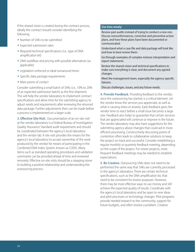If the shared vision is created during the contract process, ideally the contract should consider identifying the following:

- Number of SAKs to be submitted
- Expected submission rates
- $\bullet$  Required technical specifications (i.e., type of DNA amplification kit)
- DNA workflow and pricing with possible alternatives (as applicable)
- Legislation-enforced or ideal turnaround times
- Specific data package requirements
- $\bullet$  Main points of contact

Consider submitting a small batch of SAKs (i.e., 10% to 20% of an expected submission batch) as the first shipment. This will help the vendor laboratory to implement contract specifications and allow time for the submitting agency to adjust needs and requirements after reviewing the returned data package. Further adjustments then can be made before a process is implemented on a larger scale.

**3. Effective Site Visit.** Documentation of an on-site visit at the vendor laboratory is a Federal Bureau of Investigation Quality Assurance Standard audit requirement and should be coordinated between the agency's local laboratory and the vendor lab. A site visit provides the means for the agency's local laboratory to accept ownership of the work produced by the vendor for means of participating in the Combined DNA Index System, known as CODIS. Many items such as standard operating procedures and validation summaries can be provided ahead of time and reviewed remotely. Effective on-site visits should be a stepping stone to building a positive relationship and understanding the outsourcing process.

### **Use time wisely:**

Review past audits instead of trying to conduct a new one. Discuss nonconformances, corrective and preventive action plans, and how these plans have been documented or communicated.

Understand what a case file and data package will look like and how to best review them.

Go through examples of complex mixture interpretation and report statements.

Review the shared vision and technical specifications to make sure everything is clear, and document any agreed changes.

Meet the management team, especially the agency-specific liaisons.

Discuss challenges, issues, and any future needs.

**4. Provide Feedback.** Providing feedback to the vendor, once the outsourcing has started, is a critical element. Let the vendor know the services you appreciate, as well as what is causing stress or anxiety. Early feedback gives the vendor time to react before a small issue becomes a large one. Feedback also helps to guarantee that certain services that are appreciated will continue or improve in the future. The vendor laboratory may also have suggestions for the submitting agency about changes that could aid in more efficient processing. Constructively discussing points of contention often leads to collaborative solutions to keep the project on track and successful. Consider establishing a regular monthly or quarterly feedback meeting, depending on the scope of the project. For newer projects, more frequent feedback meetings may be needed to establish expectations.

**5. Be Creative.** Outsourcing SAKs does not need to be performed the same way that SAKs are currently processed in the agency's laboratory. There are certain technical specifications, such as the DNA amplification kit, that need to be consistent for review purposes. However, there may be more effective ways to use money and still achieve the expected quality of results. Coordinate with the agency's local laboratory and be open to new ideas and pilot processes or technology changes. Pilot programs provide needed research to the community, support for future budgets, and often resolve a problem. Creative